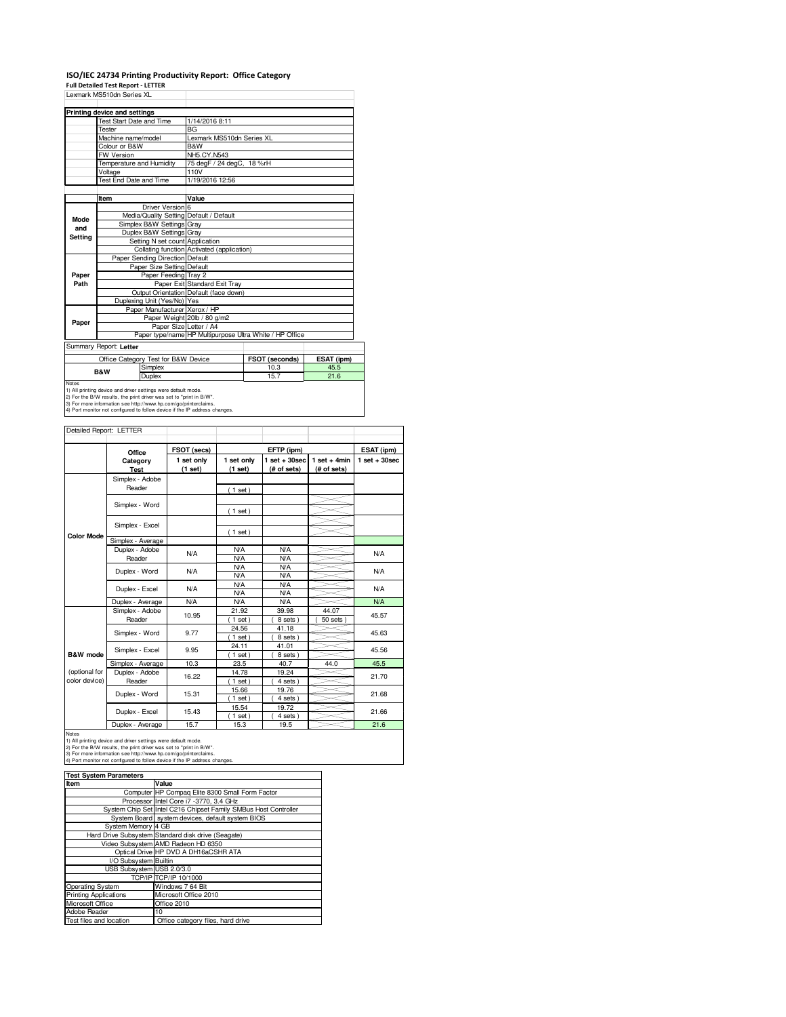## **ISO/IEC 24734 Printing Productivity Report: Office Category**

**Full Detailed Test Report - LETTER**

|              | Lexmark MS510dn Series XL                                                                                                          |                                            |                                                                                   |            |  |  |
|--------------|------------------------------------------------------------------------------------------------------------------------------------|--------------------------------------------|-----------------------------------------------------------------------------------|------------|--|--|
|              | Printing device and settings                                                                                                       |                                            |                                                                                   |            |  |  |
|              | <b>Test Start Date and Time</b>                                                                                                    | 1/14/2016 8:11                             |                                                                                   |            |  |  |
|              | <b>Tester</b>                                                                                                                      | <b>BG</b>                                  |                                                                                   |            |  |  |
|              | Machine name/model                                                                                                                 | Lexmark MS510dn Series XL                  |                                                                                   |            |  |  |
|              | Colour or B&W                                                                                                                      | B&W                                        |                                                                                   |            |  |  |
|              | <b>FW Version</b>                                                                                                                  | NH5.CY.N543                                |                                                                                   |            |  |  |
|              | Temperature and Humidity                                                                                                           | 75 degF / 24 degC, 18 %rH                  |                                                                                   |            |  |  |
|              | Voltage                                                                                                                            | 110V                                       |                                                                                   |            |  |  |
|              | Test End Date and Time                                                                                                             | 1/19/2016 12:56                            |                                                                                   |            |  |  |
|              |                                                                                                                                    |                                            |                                                                                   |            |  |  |
|              | Item                                                                                                                               | Value                                      |                                                                                   |            |  |  |
|              | Driver Version 6                                                                                                                   |                                            |                                                                                   |            |  |  |
| Mode         | Media/Quality Setting Default / Default                                                                                            |                                            |                                                                                   |            |  |  |
| and          | Simplex B&W Settings Gray                                                                                                          |                                            |                                                                                   |            |  |  |
| Setting      | Duplex B&W Settings Gray                                                                                                           |                                            |                                                                                   |            |  |  |
|              | Setting N set count Application                                                                                                    |                                            |                                                                                   |            |  |  |
|              |                                                                                                                                    | Collating function Activated (application) |                                                                                   |            |  |  |
|              | Paper Sending Direction Default                                                                                                    |                                            |                                                                                   |            |  |  |
|              | Paper Size Setting Default                                                                                                         |                                            |                                                                                   |            |  |  |
| Paper        | Paper Feeding Tray 2                                                                                                               |                                            |                                                                                   |            |  |  |
| Path         |                                                                                                                                    | Paper Exit Standard Exit Tray              |                                                                                   |            |  |  |
|              |                                                                                                                                    | Output Orientation Default (face down)     |                                                                                   |            |  |  |
|              | Duplexing Unit (Yes/No) Yes                                                                                                        |                                            |                                                                                   |            |  |  |
|              | Paper Manufacturer Xerox / HP                                                                                                      |                                            |                                                                                   |            |  |  |
| Paper        |                                                                                                                                    | Paper Weight 20lb / 80 g/m2                |                                                                                   |            |  |  |
|              |                                                                                                                                    |                                            | Paper Size Letter / A4<br>Paper type/name HP Multipurpose Ultra White / HP Office |            |  |  |
|              |                                                                                                                                    |                                            |                                                                                   |            |  |  |
|              | Summary Report: Letter                                                                                                             |                                            |                                                                                   |            |  |  |
|              | Office Category Test for B&W Device                                                                                                |                                            | FSOT (seconds)                                                                    | ESAT (ipm) |  |  |
|              | Simplex                                                                                                                            |                                            | 10.3                                                                              | 45.5       |  |  |
|              | <b>B&amp;W</b><br>Duplex                                                                                                           |                                            | 15.7                                                                              | 21.6       |  |  |
| <b>Notes</b> |                                                                                                                                    |                                            |                                                                                   |            |  |  |
|              | 1) All printing device and driver settings were default mode.<br>2) For the R/W results the print driver was set to "print in R/W" |                                            |                                                                                   |            |  |  |

2) For the B/W results, the print driver was set to "print in B/W".<br>3) For more information see http://www.hp.com/go/printerclaims.<br>4) Port monitor not configured to follow device if the IP address changes.

| Detailed Report: LETTER |                   |             |                   |                   |                |                   |  |
|-------------------------|-------------------|-------------|-------------------|-------------------|----------------|-------------------|--|
|                         |                   |             |                   |                   |                |                   |  |
|                         | Office            | FSOT (secs) |                   | EFTP (ipm)        |                | ESAT (ipm)        |  |
|                         | Category          | 1 set only  | 1 set only        | $1$ set $+30$ sec | $1$ set + 4min | $1$ set $+30$ sec |  |
|                         | <b>Test</b>       | (1 set)     | (1 set)           | (# of sets)       | (# of sets)    |                   |  |
|                         | Simplex - Adobe   |             |                   |                   |                |                   |  |
|                         | Reader            |             | (1 set)           |                   |                |                   |  |
|                         |                   |             |                   |                   |                |                   |  |
|                         | Simplex - Word    |             | $1$ set)          |                   |                |                   |  |
|                         |                   |             |                   |                   |                |                   |  |
|                         | Simplex - Excel   |             | $(1$ set)         |                   |                |                   |  |
| <b>Color Mode</b>       | Simplex - Average |             |                   |                   |                |                   |  |
|                         | Duplex - Adobe    | <b>N/A</b>  | <b>N/A</b>        | <b>N/A</b>        |                | N/A               |  |
|                         | Reader            |             | N/A               | <b>N/A</b>        |                |                   |  |
|                         | Duplex - Word     | <b>N/A</b>  | <b>N/A</b>        | <b>N/A</b>        |                | N/A               |  |
|                         |                   |             | N/A               | <b>N/A</b>        |                |                   |  |
|                         | Duplex - Excel    | <b>N/A</b>  | N/A               | N/A               |                | N/A               |  |
|                         |                   |             | N/A               | N/A               |                |                   |  |
|                         | Duplex - Average  | N/A         | N/A               | N/A               |                | <b>N/A</b>        |  |
|                         | Simplex - Adobe   | 10.95       | 21.92             | 39.98             | 44.07          | 45.57             |  |
|                         | Reader            |             | $1$ set)          | 8 sets)           | 50 sets        |                   |  |
|                         | Simplex - Word    | 9.77        | 24.56             | 41.18             |                | 45.63             |  |
|                         |                   |             | $1$ set)          | 8 sets)           |                |                   |  |
|                         | Simplex - Excel   | 9.95        | 24.11             | 41.01             |                | 45.56             |  |
| B&W mode                |                   |             | $1$ set)          | 8 sets)           |                |                   |  |
|                         | Simplex - Average | 10.3        | 23.5              | 40.7              | 44.0           | 45.5              |  |
| (optional for           | Duplex - Adobe    | 16.22       | 14.78             | 19.24             |                | 21.70             |  |
| color device)           | Reader            |             | $1$ set)          | 4 sets)           |                |                   |  |
|                         | Duplex - Word     | 15.31       | 15.66             | 19.76             |                | 21.68             |  |
|                         |                   |             | $1$ set)          | 4 sets)           |                |                   |  |
|                         | Duplex - Excel    | 15.43       | 15.54<br>$1$ set) | 19.72<br>4 sets)  |                | 21.66             |  |
|                         | Duplex - Average  | 15.7        | 15.3              | 19.5              |                | 21.6              |  |
|                         |                   |             |                   |                   |                |                   |  |

Notes<br>1) All printing device and driver settings were default mode.<br>2) For the B/W results, the print driver was set to "print in B/W".<br>3) For more information see http://www.hp.com/go/printerclaims.<br>4) Port monitor not co

| <b>Test System Parameters</b> |                                                                 |  |  |  |  |  |
|-------------------------------|-----------------------------------------------------------------|--|--|--|--|--|
| Item                          | Value                                                           |  |  |  |  |  |
|                               | Computer HP Compag Elite 8300 Small Form Factor                 |  |  |  |  |  |
|                               | Processor Intel Core i7 -3770, 3.4 GHz                          |  |  |  |  |  |
|                               | System Chip Set Intel C216 Chipset Family SMBus Host Controller |  |  |  |  |  |
|                               | System Board system devices, default system BIOS                |  |  |  |  |  |
| System Memory 4 GB            |                                                                 |  |  |  |  |  |
|                               | Hard Drive Subsystem Standard disk drive (Seagate)              |  |  |  |  |  |
|                               | Video Subsystem AMD Radeon HD 6350                              |  |  |  |  |  |
|                               | Optical Drive HP DVD A DH16aCSHR ATA                            |  |  |  |  |  |
| I/O Subsystem Builtin         |                                                                 |  |  |  |  |  |
| USB Subsystem USB 2.0/3.0     |                                                                 |  |  |  |  |  |
|                               | TCP/IP TCP/IP 10/1000                                           |  |  |  |  |  |
| <b>Operating System</b>       | Windows 7 64 Bit                                                |  |  |  |  |  |
| <b>Printing Applications</b>  | Microsoft Office 2010                                           |  |  |  |  |  |
| Microsoft Office              | Office 2010                                                     |  |  |  |  |  |
| Adobe Reader                  | 10                                                              |  |  |  |  |  |
| Test files and location       | Office category files, hard drive                               |  |  |  |  |  |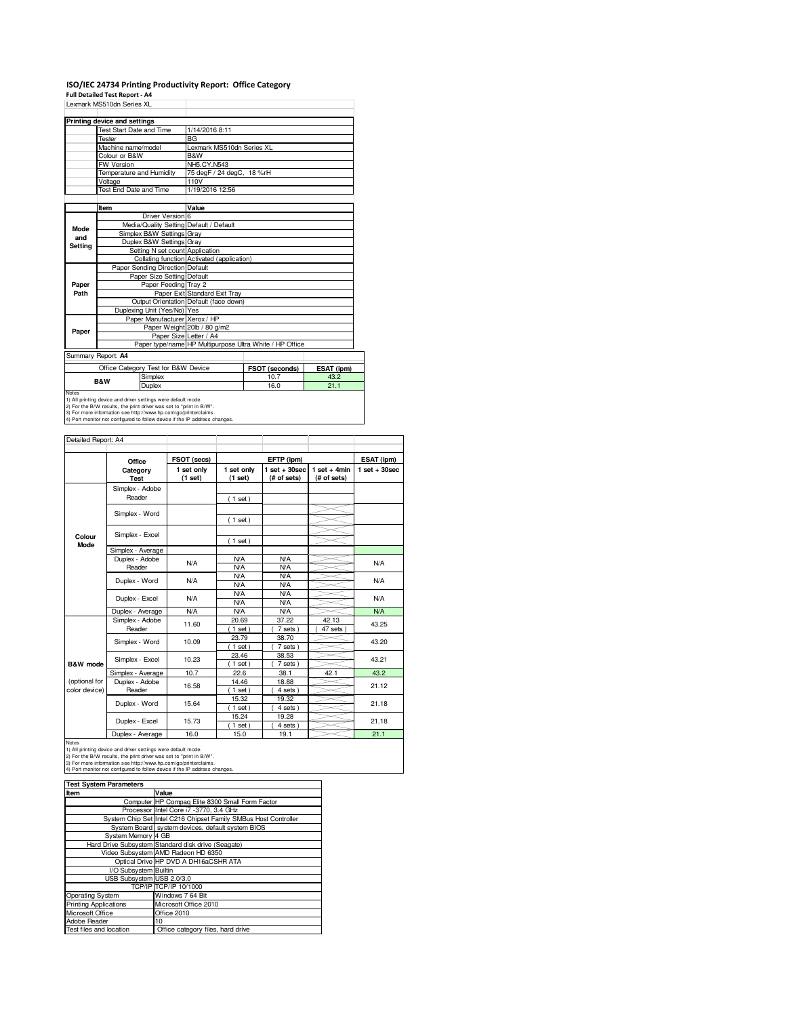## **ISO/IEC 24734 Printing Productivity Report: Office Category Full Detailed Test Report - A4**

|         | Lexmark MS510dn Series XL               |                                                         |  |  |  |  |
|---------|-----------------------------------------|---------------------------------------------------------|--|--|--|--|
|         | Printing device and settings            |                                                         |  |  |  |  |
|         | <b>Test Start Date and Time</b>         | 1/14/2016 8:11                                          |  |  |  |  |
|         | Tester                                  | <b>BG</b>                                               |  |  |  |  |
|         | Machine name/model                      | Lexmark MS510dn Series XL                               |  |  |  |  |
|         | Colour or B&W                           | B&W                                                     |  |  |  |  |
|         | <b>FW Version</b>                       | NH5.CY.N543                                             |  |  |  |  |
|         | Temperature and Humidity                | 75 degF / 24 degC, 18 %rH                               |  |  |  |  |
|         | Voltage                                 | 110V                                                    |  |  |  |  |
|         | Test End Date and Time                  | 1/19/2016 12:56                                         |  |  |  |  |
|         |                                         |                                                         |  |  |  |  |
|         | Item                                    | Value                                                   |  |  |  |  |
|         | Driver Version 6                        |                                                         |  |  |  |  |
| Mode    | Media/Quality Setting Default / Default |                                                         |  |  |  |  |
| and     | Simplex B&W Settings Gray               |                                                         |  |  |  |  |
| Setting | Duplex B&W Settings Gray                |                                                         |  |  |  |  |
|         | Setting N set count Application         |                                                         |  |  |  |  |
|         |                                         | Collating function Activated (application)              |  |  |  |  |
|         | Paper Sending Direction Default         |                                                         |  |  |  |  |
|         | Paper Size Setting Default              |                                                         |  |  |  |  |
| Paper   | Paper Feeding Tray 2                    |                                                         |  |  |  |  |
| Path    |                                         | Paper Exit Standard Exit Tray                           |  |  |  |  |
|         |                                         | Output Orientation Default (face down)                  |  |  |  |  |
|         | Duplexing Unit (Yes/No) Yes             |                                                         |  |  |  |  |
|         | Paper Manufacturer Xerox / HP           |                                                         |  |  |  |  |
| Paper   |                                         | Paper Weight 20lb / 80 g/m2                             |  |  |  |  |
|         | Paper Size Letter / A4                  |                                                         |  |  |  |  |
|         |                                         | Paper type/name HP Multipurpose Ultra White / HP Office |  |  |  |  |
|         | Summary Report: A4                      |                                                         |  |  |  |  |
|         |                                         |                                                         |  |  |  |  |

**FSOT (seconds) ESAT (ipm)**<br>10.7 **43.2**<br>16.0 **21.1** Office Category Test for B&W Device **FSOT (seconds)** ESAT (i)<br>
Simplex 10.7 43.2 Notes<br>
Notes<br>
19. In printing device and driver settings were default mode.<br>
2) For the BAW results, the print driver was set to "print in BAW".<br>
2) For the BAW results, the print driver was set to "print in BAW".<br>
4) Por **B&W**

| Detailed Report: A4            |                           |                       |                       |                                |                               |                 |
|--------------------------------|---------------------------|-----------------------|-----------------------|--------------------------------|-------------------------------|-----------------|
|                                | Office                    | FSOT (secs)           |                       | EFTP (ipm)                     |                               | ESAT (ipm)      |
|                                | Category<br><b>Test</b>   | 1 set only<br>(1 set) | 1 set only<br>(1 set) | $1$ set + 30sec<br>(# of sets) | $1$ set + 4min<br>(# of sets) | $1$ set + 30sec |
|                                | Simplex - Adobe<br>Reader |                       | (1 set)               |                                |                               |                 |
|                                | Simplex - Word            |                       |                       |                                |                               |                 |
|                                | Simplex - Excel           |                       | (1 set)               |                                |                               |                 |
| Colour<br><b>Mode</b>          | Simplex - Average         |                       | (1 set)               |                                |                               |                 |
|                                | Duplex - Adobe<br>Reader  | N/A                   | N/A<br>N/A            | N/A<br>N/A                     |                               | N/A             |
|                                | Duplex - Word             | <b>N/A</b>            | N/A<br>N/A            | N/A<br>N/A                     |                               | N/A             |
|                                | Duplex - Excel            | <b>N/A</b>            | N/A<br>N/A            | <b>N/A</b><br>N/A              |                               | N/A             |
|                                | Duplex - Average          | <b>N/A</b>            | N/A                   | N/A                            |                               | <b>N/A</b>      |
|                                | Simplex - Adobe<br>Reader | 11.60                 | 20.69<br>$1$ set)     | 37.22<br>7 sets)               | 42.13<br>47 sets              | 43.25           |
|                                | Simplex - Word            | 10.09                 | 23.79<br>$1$ set)     | 38.70<br>7 sets)               |                               | 43.20           |
| <b>B&amp;W</b> mode            | Simplex - Excel           | 10.23                 | 23.46<br>$1$ set)     | 38.53<br>7 sets)               |                               | 43.21           |
|                                | Simplex - Average         | 10.7                  | 22.6                  | 38.1                           | 42.1                          | 43.2            |
| (optional for<br>color device) | Duplex - Adobe<br>Reader  | 16.58                 | 14.46<br>$1$ set)     | 18.88<br>4 sets)               |                               | 21.12           |
|                                | Duplex - Word             | 15.64                 | 15.32<br>$1$ set)     | 19.32<br>4 sets)               |                               | 21.18           |
|                                | Duplex - Excel            | 15.73                 | 15.24<br>$1$ set)     | 19.28<br>4 sets                |                               | 21.18           |
|                                | $\overline{\phantom{0}}$  | $\sim$                | $ -$                  |                                |                               |                 |

Duplex - Average 16.0 15.0 19.1 19.1 21.1<br>
1) All printing device and driver settings were default mode.<br>
2) For the BAW results, the print driver was set to "print in BAW".<br>
3) For more information see http://www.hp.com/

| <b>Test System Parameters</b> |                                                                 |
|-------------------------------|-----------------------------------------------------------------|
| Item                          | Value                                                           |
|                               | Computer HP Compag Elite 8300 Small Form Factor                 |
|                               | Processor Intel Core i7 -3770, 3.4 GHz                          |
|                               | System Chip Set Intel C216 Chipset Family SMBus Host Controller |
|                               | System Board system devices, default system BIOS                |
| System Memory 4 GB            |                                                                 |
|                               | Hard Drive Subsystem Standard disk drive (Seagate)              |
|                               | Video Subsystem AMD Radeon HD 6350                              |
|                               | Optical Drive HP DVD A DH16aCSHR ATA                            |
| I/O Subsystem Builtin         |                                                                 |
| USB Subsystem USB 2.0/3.0     |                                                                 |
|                               | TCP/IP TCP/IP 10/1000                                           |
| <b>Operating System</b>       | Windows 7 64 Bit                                                |
| <b>Printing Applications</b>  | Microsoft Office 2010                                           |
| Microsoft Office              | Office 2010                                                     |
| Adobe Reader                  | 10                                                              |
| Test files and location       | Office category files, hard drive                               |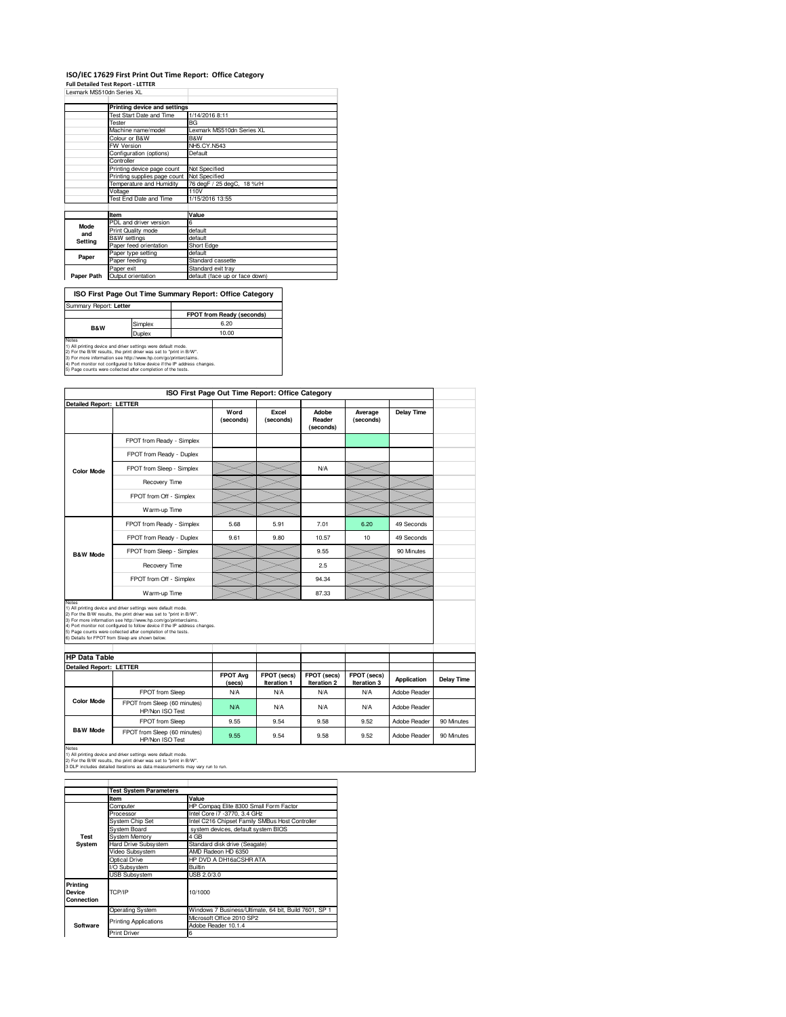## **ISO/IEC 17629 First Print Out Time Report: Office Category**

**Full Detailed Test Report - LETTER** Lexmark MS510dn Series XL

|                          | Printing device and settings |                                |
|--------------------------|------------------------------|--------------------------------|
| Test Start Date and Time |                              | 1/14/2016 8:11                 |
|                          | Tester                       | BG                             |
|                          | Machine name/model           | Lexmark MS510dn Series XL      |
|                          | Colour or B&W                | B&W                            |
|                          | <b>FW Version</b>            | NH5.CY.N543                    |
|                          | Configuration (options)      | Default                        |
|                          | Controller                   |                                |
|                          | Printing device page count   | Not Specified                  |
|                          | Printing supplies page count | Not Specified                  |
|                          | Temperature and Humidity     | 76 degF / 25 degC, 18 %rH      |
|                          | Voltage                      | 110V                           |
|                          | Test End Date and Time       | 1/15/2016 13:55                |
|                          |                              |                                |
|                          | Item                         | Value                          |
| <b>Mode</b>              | PDL and driver version       | 6                              |
|                          | Print Quality mode           | default                        |
| and                      | <b>B&amp;W</b> settings      | default                        |
| Setting                  | Paper feed orientation       | Short Edge                     |
|                          | Paper type setting           | default                        |
| Paper                    | Paper feeding                | Standard cassette              |
|                          | Paper exit                   | Standard exit tray             |
| Paper Path               | Output orientation           | default (face up or face down) |

**FPOT from Ready (seconds)** Simplex 6.20<br>Duplex 10.00 Notes<br>
10.00<br>
1) All printing device and driver settings were default mode.<br>
2) For the BM results, the print driver was set to "print in BW".<br>
3) For more information see http://www.hp.com/go/printenclaims.<br>
4) Port morio **ISO First Page Out Time Summary Report: Office Category** Summary Report: **Letter B&W**

| ISO First Page Out Time Report: Office Category |                                                                                                                                                                                                                                                                                                                                                                                                                   |                           |                            |                                   |                            |                    |                   |
|-------------------------------------------------|-------------------------------------------------------------------------------------------------------------------------------------------------------------------------------------------------------------------------------------------------------------------------------------------------------------------------------------------------------------------------------------------------------------------|---------------------------|----------------------------|-----------------------------------|----------------------------|--------------------|-------------------|
| <b>Detailed Report: LETTER</b>                  |                                                                                                                                                                                                                                                                                                                                                                                                                   |                           |                            |                                   |                            |                    |                   |
|                                                 |                                                                                                                                                                                                                                                                                                                                                                                                                   | Word<br>(seconds)         | Excel<br>(seconds)         | Adobe<br>Reader<br>(seconds)      | Average<br>(seconds)       | <b>Delay Time</b>  |                   |
|                                                 | FPOT from Ready - Simplex                                                                                                                                                                                                                                                                                                                                                                                         |                           |                            |                                   |                            |                    |                   |
|                                                 | FPOT from Ready - Duplex                                                                                                                                                                                                                                                                                                                                                                                          |                           |                            |                                   |                            |                    |                   |
| <b>Color Mode</b>                               | FPOT from Sleep - Simplex                                                                                                                                                                                                                                                                                                                                                                                         |                           |                            | <b>N/A</b>                        |                            |                    |                   |
|                                                 | Recovery Time                                                                                                                                                                                                                                                                                                                                                                                                     |                           |                            |                                   |                            |                    |                   |
|                                                 | FPOT from Off - Simplex                                                                                                                                                                                                                                                                                                                                                                                           |                           |                            |                                   |                            |                    |                   |
|                                                 | Warm-up Time                                                                                                                                                                                                                                                                                                                                                                                                      |                           |                            |                                   |                            |                    |                   |
|                                                 | FPOT from Ready - Simplex                                                                                                                                                                                                                                                                                                                                                                                         | 5.68                      | 5.91                       | 7.01                              | 6.20                       | 49 Seconds         |                   |
|                                                 | FPOT from Ready - Duplex                                                                                                                                                                                                                                                                                                                                                                                          | 9.61                      | 9.80                       | 10.57                             | 10                         | 49 Seconds         |                   |
| <b>B&amp;W Mode</b>                             | FPOT from Sleep - Simplex                                                                                                                                                                                                                                                                                                                                                                                         |                           |                            | 9.55                              |                            | 90 Minutes         |                   |
|                                                 | Recovery Time                                                                                                                                                                                                                                                                                                                                                                                                     |                           |                            | 2.5                               |                            |                    |                   |
|                                                 | FPOT from Off - Simplex                                                                                                                                                                                                                                                                                                                                                                                           |                           |                            | 94.34                             |                            |                    |                   |
|                                                 | Warm-up Time                                                                                                                                                                                                                                                                                                                                                                                                      |                           |                            | 87.33                             |                            |                    |                   |
|                                                 | Notes<br>1) All printing device and driver settings were default mode.<br>2) For the B/W results, the print driver was set to "print in B/W".<br>3) For more information see http://www.hp.com/go/printerclaims.<br>4) Port monitor not configured to follow device if the IP address changes.<br>5) Page counts were collected after completion of the tests.<br>6) Details for FPOT from Sleep are shown below. |                           |                            |                                   |                            |                    |                   |
| <b>HP Data Table</b>                            |                                                                                                                                                                                                                                                                                                                                                                                                                   |                           |                            |                                   |                            |                    |                   |
| <b>Detailed Report: LETTER</b>                  |                                                                                                                                                                                                                                                                                                                                                                                                                   |                           |                            |                                   |                            |                    |                   |
|                                                 |                                                                                                                                                                                                                                                                                                                                                                                                                   | <b>FPOT Avg</b><br>(secs) | FPOT (secs)<br>Iteration 1 | FPOT (secs)<br><b>Iteration 2</b> | FPOT (secs)<br>Iteration 3 | <b>Application</b> | <b>Delay Time</b> |
|                                                 | FPOT from Sleep                                                                                                                                                                                                                                                                                                                                                                                                   | N/A                       | N/A                        | N/A                               | <b>N/A</b>                 | Adobe Reader       |                   |
| <b>Color Mode</b>                               | FPOT from Sleep (60 minutes)<br>HP/Non ISO Test                                                                                                                                                                                                                                                                                                                                                                   | <b>N/A</b>                | N/A                        | N/A                               | <b>N/A</b>                 | Adobe Reader       |                   |
|                                                 | FPOT from Sleep                                                                                                                                                                                                                                                                                                                                                                                                   | 9.55                      | 9.54                       | 9.58                              | 9.52                       | Adobe Reader       | 90 Minutes        |
| <b>B&amp;W Mode</b>                             | FPOT from Sleep (60 minutes)<br>HP/Non ISO Test                                                                                                                                                                                                                                                                                                                                                                   | 9.55                      | 9.54                       | 9.58                              | 9.52                       | Adobe Reader       | 90 Minutes        |

Notes<br>1) All printing device and driver settings were default mode.<br>2) For the B/W results, the print driver was set to "print in B/W".<br>3 DLP includes detailed iterations as data measurements may vary run to run.

|                                         | <b>Test System Parameters</b> |                                                       |  |  |  |  |
|-----------------------------------------|-------------------------------|-------------------------------------------------------|--|--|--|--|
|                                         | Item                          | Value                                                 |  |  |  |  |
|                                         | Computer                      | HP Compag Elite 8300 Small Form Factor                |  |  |  |  |
|                                         | Processor                     | Intel Core i7 -3770, 3.4 GHz                          |  |  |  |  |
|                                         | <b>System Chip Set</b>        | Intel C216 Chipset Family SMBus Host Controller       |  |  |  |  |
|                                         | System Board                  | system devices, default system BIOS                   |  |  |  |  |
| Test                                    | <b>System Memory</b>          | 4 GB                                                  |  |  |  |  |
| System                                  | <b>Hard Drive Subsystem</b>   | Standard disk drive (Seagate)                         |  |  |  |  |
|                                         | Video Subsystem               | AMD Radeon HD 6350                                    |  |  |  |  |
|                                         | Optical Drive                 | HP DVD A DH16aCSHR ATA                                |  |  |  |  |
|                                         | I/O Subsystem                 | <b>Builtin</b>                                        |  |  |  |  |
|                                         | <b>USB Subsystem</b>          | USB 2.0/3.0                                           |  |  |  |  |
| Printing<br><b>Device</b><br>Connection | TCP/IP                        | 10/1000                                               |  |  |  |  |
|                                         | <b>Operating System</b>       | Windows 7 Business/Ultimate, 64 bit, Build 7601, SP 1 |  |  |  |  |
|                                         | <b>Printing Applications</b>  | Microsoft Office 2010 SP2                             |  |  |  |  |
| Software                                |                               | Adobe Reader 10.1.4                                   |  |  |  |  |
|                                         | <b>Print Driver</b>           | 6                                                     |  |  |  |  |